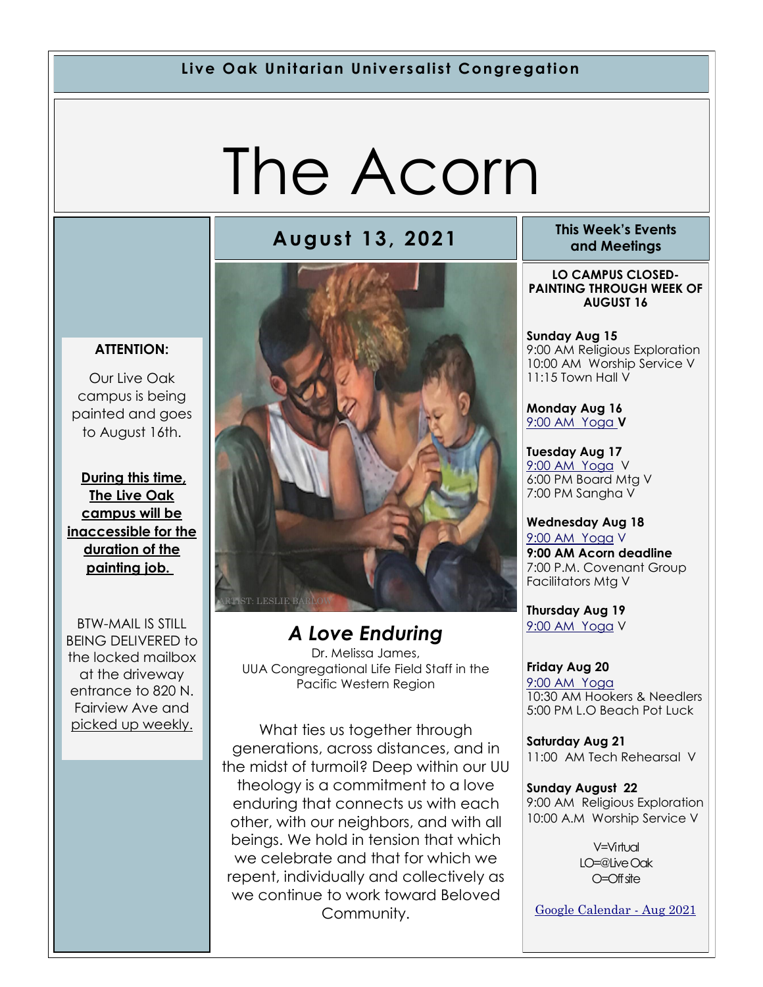### **Live Oak Unitarian Universalist Congregation**

# The Acorn

#### **ATTENTION:**

Our Live Oak campus is being painted and goes to August 16th.

**During this time, The Live Oak campus will be inaccessible for the duration of the painting job.** 

BTW-MAIL IS STILL BEING DELIVERED to the locked mailbox at the driveway entrance to 820 N. Fairview Ave and picked up weekly.



*A Love Enduring* Dr. Melissa James, UUA Congregational Life Field Staff in the Pacific Western Region

What ties us together through generations, across distances, and in the midst of turmoil? Deep within our UU theology is a commitment to a love enduring that connects us with each other, with our neighbors, and with all beings. We hold in tension that which we celebrate and that for which we repent, individually and collectively as we continue to work toward Beloved Community.

**August 13, 2021 This Week's Events and Meetings** 

> **LO CAMPUS CLOSED-PAINTING THROUGH WEEK OF AUGUST 16**

> **Sunday Aug 15** 9:00 AM Religious Exploration 10:00 AM Worship Service V 11:15 Town Hall V

**Monday Aug 16** [9:00 AM Yoga](https://us02web.zoom.us/j/86278199291?pwd=WUh1MFJyVXNVOTIyQ1NmanJoSmNXQT09) **V**

**Tuesday Aug 17** [9:](https://us02web.zoom.us/meeting/register/tZ0pc-6qrTwqH9WUfmrB_nZu0MWqJ8CyS3Uw)[00 AM Yoga](https://us02web.zoom.us/j/86278199291?pwd=WUh1MFJyVXNVOTIyQ1NmanJoSmNXQT09) V 6:00 PM Board Mtg V 7:00 PM Sangha V

**Wednesday Aug 18** [9:](https://us02web.zoom.us/meeting/register/tZ0pc-6qrTwqH9WUfmrB_nZu0MWqJ8CyS3Uw)[00 AM Yoga](https://us02web.zoom.us/j/86278199291?pwd=WUh1MFJyVXNVOTIyQ1NmanJoSmNXQT09) V **9:00 AM Acorn deadline** 7:00 P.M. Covenant Group Facilitators Mtg V

**Thursday Aug 19** [9:](https://us02web.zoom.us/meeting/register/tZ0pc-6qrTwqH9WUfmrB_nZu0MWqJ8CyS3Uw)[00 AM Yoga](https://us02web.zoom.us/j/86278199291?pwd=WUh1MFJyVXNVOTIyQ1NmanJoSmNXQT09) V

**Friday Aug 20** [9:](https://us02web.zoom.us/meeting/register/tZ0pc-6qrTwqH9WUfmrB_nZu0MWqJ8CyS3Uw)[00 AM Yoga](https://us02web.zoom.us/j/86278199291?pwd=WUh1MFJyVXNVOTIyQ1NmanJoSmNXQT09) 10:30 AM Hookers & Needlers 5:00 PM L.O Beach Pot Luck

**Saturday Aug 21** 11:00 AM Tech Rehearsal V

**Sunday August 22** 9:00 AM Religious Exploration 10:00 A.M Worship Service V

> $V=V$ intual LO=@Live Oak O=Off site

[Google Calendar -](https://calendar.google.com/calendar/u/1/r/month/2021/8/1) Aug 2021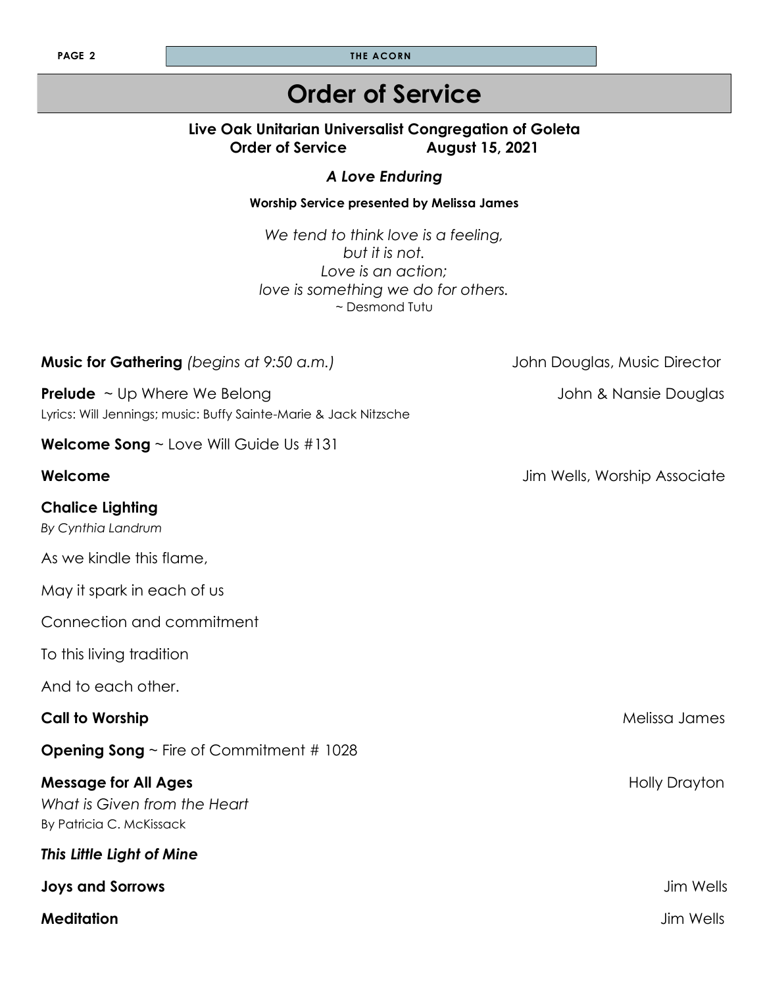**PAGE 2 THE ACORN** 

# **Order of Service**

### **Live Oak Unitarian Universalist Congregation of Goleta Order of Service August 15, 2021**

### *A Love Enduring*

#### **Worship Service presented by Melissa James**

*We tend to think love is a feeling, but it is not. Love is an action; love is something we do for others.*  ~ Desmond Tutu

| Music for Gathering (begins at 9:50 a.m.)                                                                    | John Douglas, Music Director |
|--------------------------------------------------------------------------------------------------------------|------------------------------|
| <b>Prelude</b> $\sim$ Up Where We Belong<br>Lyrics: Will Jennings; music: Buffy Sainte-Marie & Jack Nitzsche | John & Nansie Douglas        |
| <b>Welcome Song</b> $\sim$ Love Will Guide Us #131                                                           |                              |
| Welcome                                                                                                      | Jim Wells, Worship Associate |
| <b>Chalice Lighting</b><br>By Cynthia Landrum                                                                |                              |
| As we kindle this flame,                                                                                     |                              |
| May it spark in each of us                                                                                   |                              |
| Connection and commitment                                                                                    |                              |
| To this living tradition                                                                                     |                              |
| And to each other.                                                                                           |                              |
| <b>Call to Worship</b>                                                                                       | Melissa James                |
| <b>Opening Song</b> $\sim$ Fire of Commitment # 1028                                                         |                              |
| <b>Message for All Ages</b><br>What is Given from the Heart<br>By Patricia C. McKissack                      | <b>Holly Drayton</b>         |
| This Little Light of Mine                                                                                    |                              |
| <b>Joys and Sorrows</b>                                                                                      | <b>Jim Wells</b>             |
| <b>Meditation</b>                                                                                            | <b>Jim Wells</b>             |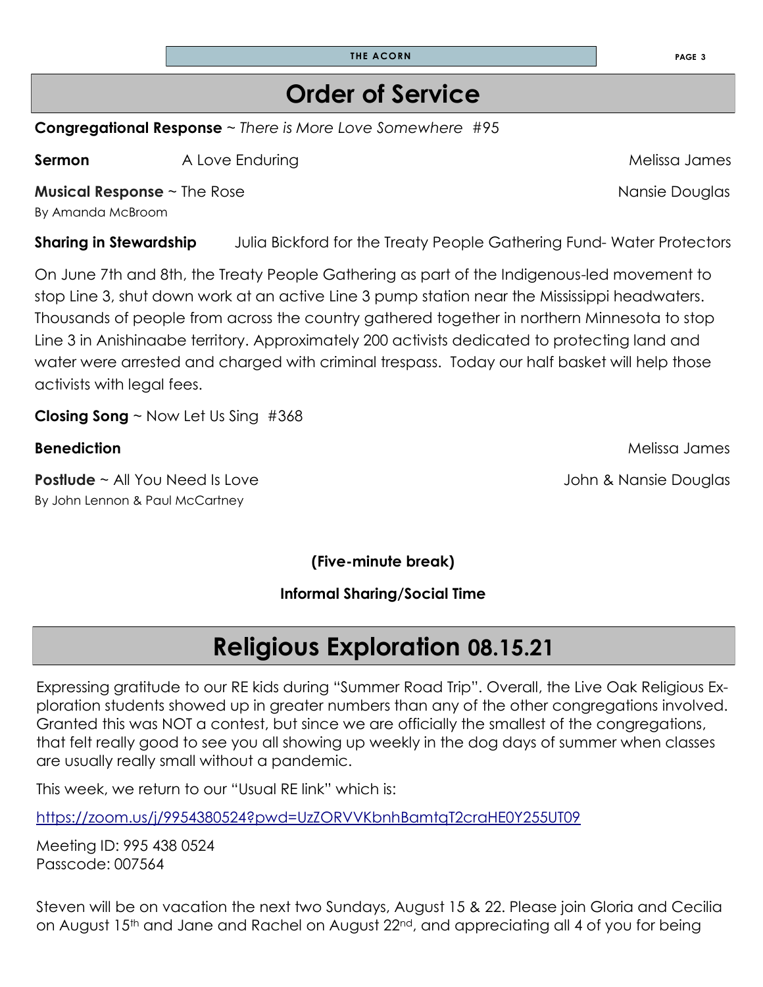**THE ACORN PAGE 3**

### **Order of Service**

**Congregational Response** ~ *There is More Love Somewhere* #95

**Sermon** A Love EnduringMelissa James

**Musical Response** ~ The Rose Nansie Douglas

By Amanda McBroom

**Sharing in Stewardship** Julia Bickford for the Treaty People Gathering Fund-Water Protectors

On June 7th and 8th, the Treaty People Gathering as part of the Indigenous-led movement to stop Line 3, shut down work at an active Line 3 pump station near the Mississippi headwaters. Thousands of people from across the country gathered together in northern Minnesota to stop Line 3 in Anishinaabe territory. Approximately 200 activists dedicated to protecting land and water were arrested and charged with criminal trespass. Today our half basket will help those activists with legal fees.

**Closing Song** ~ Now Let Us Sing #368

### **Benediction** Melissa James

**Postlude** ~ All You Need Is Love **Constructed Access 20 Access 20 Access** 30 John & Nansie Douglas By John Lennon & Paul McCartney

**(Five-minute break)**

**Informal Sharing/Social Time** 

# **Religious Exploration 08.15.21**

Expressing gratitude to our RE kids during "Summer Road Trip". Overall, the Live Oak Religious Exploration students showed up in greater numbers than any of the other congregations involved. Granted this was NOT a contest, but since we are officially the smallest of the congregations, that felt really good to see you all showing up weekly in the dog days of summer when classes are usually really small without a pandemic.

This week, we return to our "Usual RE link" which is:

<https://zoom.us/j/9954380524?pwd=UzZORVVKbnhBamtqT2craHE0Y255UT09>

Meeting ID: 995 438 0524 Passcode: 007564

Steven will be on vacation the next two Sundays, August 15 & 22. Please join Gloria and Cecilia on August 15<sup>th</sup> and Jane and Rachel on August 22<sup>nd</sup>, and appreciating all 4 of you for being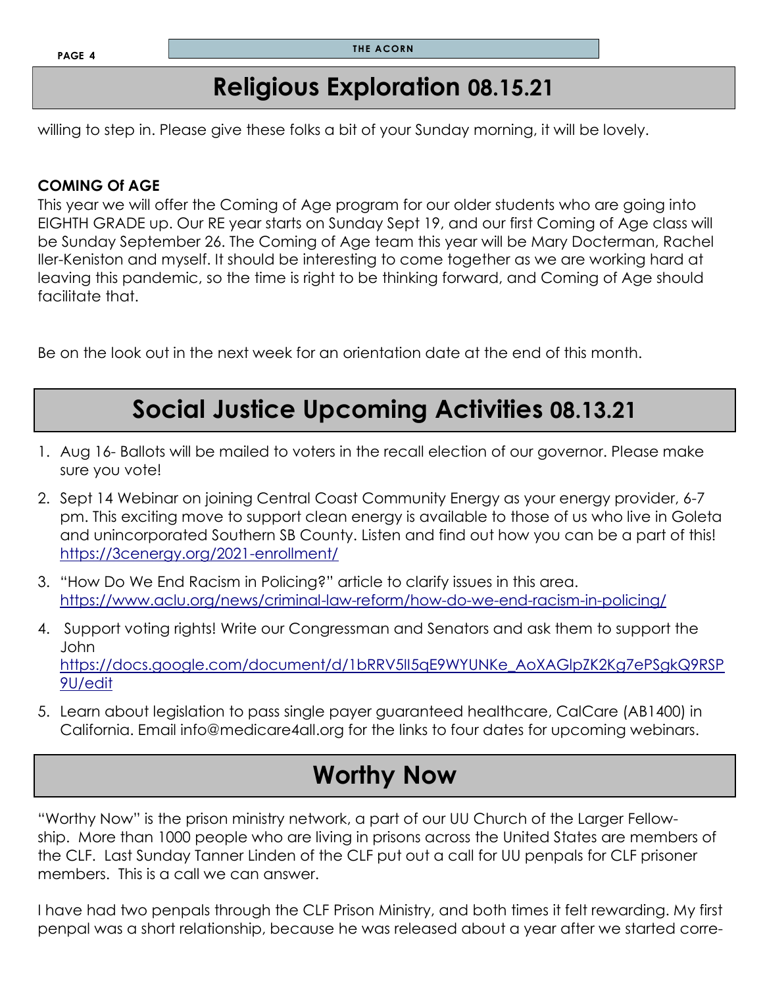### **Religious Exploration 08.15.21**

willing to step in. Please give these folks a bit of your Sunday morning, it will be lovely.

### **COMING Of AGE**

This year we will offer the Coming of Age program for our older students who are going into EIGHTH GRADE up. Our RE year starts on Sunday Sept 19, and our first Coming of Age class will be Sunday September 26. The Coming of Age team this year will be Mary Docterman, Rachel Iler-Keniston and myself. It should be interesting to come together as we are working hard at leaving this pandemic, so the time is right to be thinking forward, and Coming of Age should facilitate that.

Be on the look out in the next week for an orientation date at the end of this month.

# **Social Justice Upcoming Activities 08.13.21**

- 1. Aug 16- Ballots will be mailed to voters in the recall election of our governor. Please make sure you vote!
- 2. Sept 14 Webinar on joining Central Coast Community Energy as your energy provider, 6-7 pm. This exciting move to support clean energy is available to those of us who live in Goleta and unincorporated Southern SB County. Listen and find out how you can be a part of this! <https://3cenergy.org/2021-enrollment/>
- 3. "How Do We End Racism in Policing?" article to clarify issues in this area. <https://www.aclu.org/news/criminal-law-reform/how-do-we-end-racism-in-policing/>
- 4. Support voting rights! Write our Congressman and Senators and ask them to support the John [https://docs.google.com/document/d/1bRRV5II5qE9WYUNKe\\_AoXAGlpZK2Kg7ePSgkQ9RSP](https://docs.google.com/document/d/1bRRV5II5qE9WYUNKe_AoXAGlpZK2Kg7ePSgkQ9RSP9U/edit) [9U/edit](https://docs.google.com/document/d/1bRRV5II5qE9WYUNKe_AoXAGlpZK2Kg7ePSgkQ9RSP9U/edit)
- 5. Learn about legislation to pass single payer guaranteed healthcare, CalCare (AB1400) in California. Email info@medicare4all.org for the links to four dates for upcoming webinars.

# **Worthy Now**

"Worthy Now" is the prison ministry network, a part of our UU Church of the Larger Fellowship. More than 1000 people who are living in prisons across the United States are members of the CLF. Last Sunday Tanner Linden of the CLF put out a call for UU penpals for CLF prisoner members. This is a call we can answer.

I have had two penpals through the CLF Prison Ministry, and both times it felt rewarding. My first penpal was a short relationship, because he was released about a year after we started corre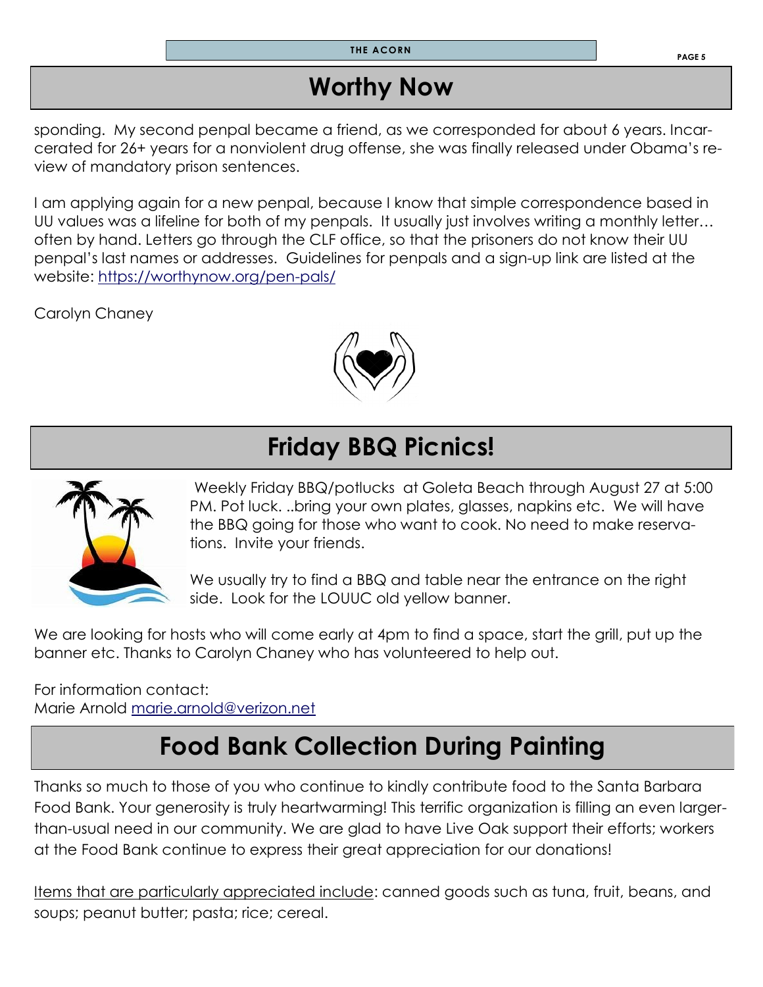**THE ACORN**

# **Worthy Now**

sponding. My second penpal became a friend, as we corresponded for about 6 years. Incarcerated for 26+ years for a nonviolent drug offense, she was finally released under Obama's review of mandatory prison sentences.

I am applying again for a new penpal, because I know that simple correspondence based in UU values was a lifeline for both of my penpals. It usually just involves writing a monthly letter… often by hand. Letters go through the CLF office, so that the prisoners do not know their UU penpal's last names or addresses. Guidelines for penpals and a sign-up link are listed at the website: <https://worthynow.org/pen-pals/>

Carolyn Chaney



# **Friday BBQ Picnics!**



Weekly Friday BBQ/potlucks at Goleta Beach through August 27 at 5:00 PM. Pot luck. ..bring your own plates, glasses, napkins etc. We will have the BBQ going for those who want to cook. No need to make reservations. Invite your friends.

We usually try to find a BBQ and table near the entrance on the right side. Look for the LOUUC old yellow banner.

We are looking for hosts who will come early at 4pm to find a space, start the grill, put up the banner etc. Thanks to Carolyn Chaney who has volunteered to help out.

For information contact: Marie Arnold [marie.arnold@verizon.net](mailto:marie.arnold@verizon.net)

# **Food Bank Collection During Painting**

Thanks so much to those of you who continue to kindly contribute food to the Santa Barbara Food Bank. Your generosity is truly heartwarming! This terrific organization is filling an even largerthan-usual need in our community. We are glad to have Live Oak support their efforts; workers at the Food Bank continue to express their great appreciation for our donations!

Items that are particularly appreciated include: canned goods such as tuna, fruit, beans, and soups; peanut butter; pasta; rice; cereal.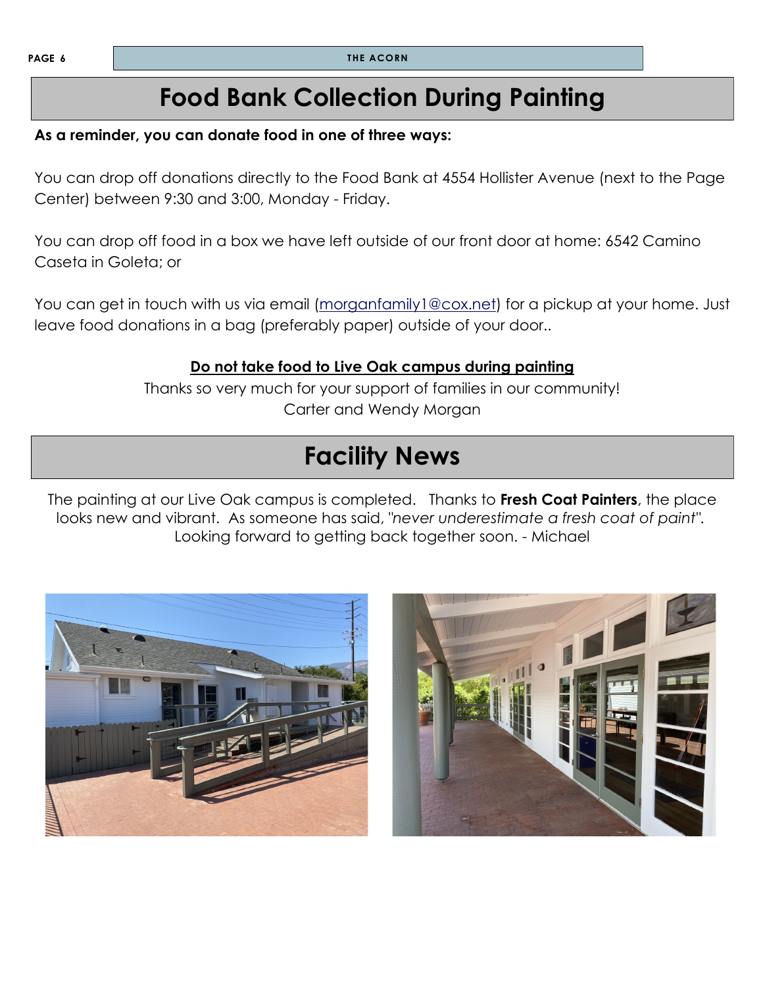### **Food Bank Collection During Painting**

#### **As a reminder, you can donate food in one of three ways:**

You can drop off donations directly to the Food Bank at 4554 Hollister Avenue (next to the Page Center) between 9:30 and 3:00, Monday - Friday.

You can drop off food in a box we have left outside of our front door at home: 6542 Camino Caseta in Goleta; or

You can get in touch with us via email (morganfamily 1@cox.net) for a pickup at your home. Just leave food donations in a bag (preferably paper) outside of your door..

#### **Do not take food to Live Oak campus during painting**

Thanks so very much for your support of families in our community! Carter and Wendy Morgan

### **Facility News**

The painting at our Live Oak campus is completed. Thanks to **Fresh Coat Painters**, the place looks new and vibrant. As someone has said, *"never underestimate a fresh coat of paint"*. Looking forward to getting back together soon. - Michael



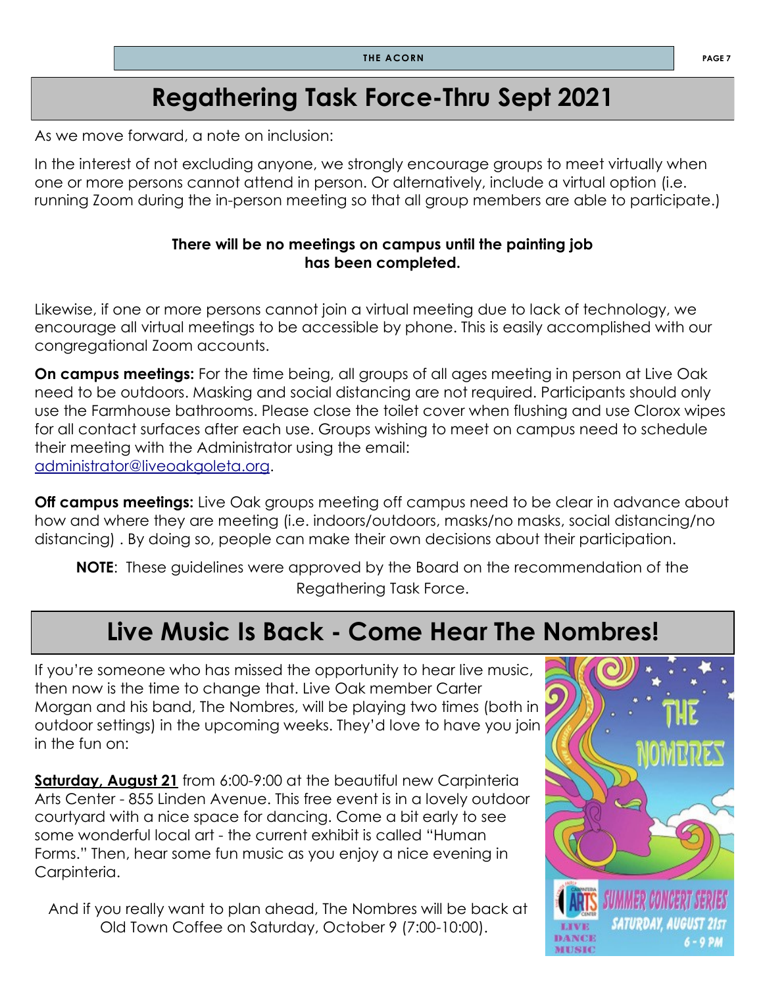# **Regathering Task Force-Thru Sept 2021**

As we move forward, a note on inclusion:

In the interest of not excluding anyone, we strongly encourage groups to meet virtually when one or more persons cannot attend in person. Or alternatively, include a virtual option (i.e. running Zoom during the in-person meeting so that all group members are able to participate.)

#### **There will be no meetings on campus until the painting job has been completed.**

Likewise, if one or more persons cannot join a virtual meeting due to lack of technology, we encourage all virtual meetings to be accessible by phone. This is easily accomplished with our congregational Zoom accounts.

**On campus meetings:** For the time being, all groups of all ages meeting in person at Live Oak need to be outdoors. Masking and social distancing are not required. Participants should only use the Farmhouse bathrooms. Please close the toilet cover when flushing and use Clorox wipes for all contact surfaces after each use. Groups wishing to meet on campus need to schedule their meeting with the Administrator using the email: [administrator@liveoakgoleta.org.](mailto:administrator@liveoakgoleta.org) 

**Off campus meetings:** Live Oak groups meeting off campus need to be clear in advance about how and where they are meeting (i.e. indoors/outdoors, masks/no masks, social distancing/no distancing) . By doing so, people can make their own decisions about their participation.

**NOTE**: These guidelines were approved by the Board on the recommendation of the Regathering Task Force.

### **Live Music Is Back - Come Hear The Nombres!**

If you're someone who has missed the opportunity to hear live music, then now is the time to change that. Live Oak member Carter Morgan and his band, The Nombres, will be playing two times (both in outdoor settings) in the upcoming weeks. They'd love to have you join in the fun on:

**Saturday, August 21** from 6:00-9:00 at the beautiful new Carpinteria Arts Center - 855 Linden Avenue. This free event is in a lovely outdoor courtyard with a nice space for dancing. Come a bit early to see some wonderful local art - the current exhibit is called "Human Forms." Then, hear some fun music as you enjoy a nice evening in Carpinteria.

And if you really want to plan ahead, The Nombres will be back at Old Town Coffee on Saturday, October 9 (7:00-10:00).